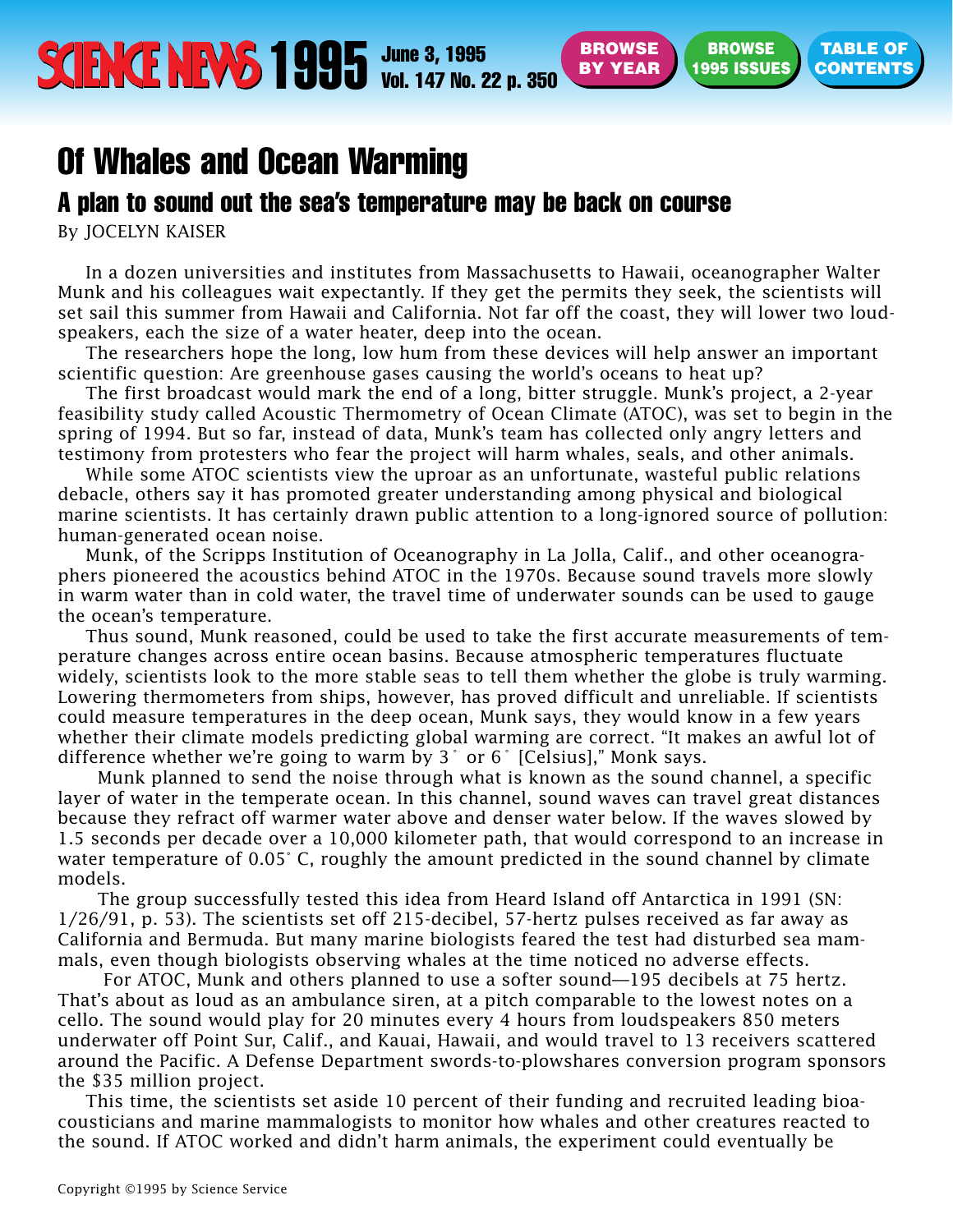## <span id="page-0-0"></span>Of Whales and Ocean Warming

## A plan to sound out the sea's temperature may be back on course

By JOCELYN KAISER

In a dozen universities and institutes from Massachusetts to Hawaii, oceanographer Walter Munk and his colleagues wait expectantly. If they get the permits they seek, the scientists will set sail this summer from Hawaii and California. Not far off the coast, they will lower two loudspeakers, each the size of a water heater, deep into the ocean.

**BROWSE BY YEAR**

**BROWSE 1995 ISSUES** **TABLE OF**

The researchers hope the long, low hum from these devices will help answer an important scientific question: Are greenhouse gases causing the world's oceans to heat up?

The first broadcast would mark the end of a long, bitter struggle. Munk's project, a 2-year feasibility study called Acoustic Thermometry of Ocean Climate (ATOC), was set to begin in the spring of 1994. But so far, instead of data, Munk's team has collected only angry letters and testimony from protesters who fear the project will harm whales, seals, and other animals.

While some ATOC scientists view the uproar as an unfortunate, wasteful public relations debacle, others say it has promoted greater understanding among physical and biological marine scientists. It has certainly drawn public attention to a long-ignored source of pollution: human-generated ocean noise.

Munk, of the Scripps Institution of Oceanography in La Jolla, Calif., and other oceanographers pioneered the acoustics behind ATOC in the 1970s. Because sound travels more slowly in warm water than in cold water, the travel time of underwater sounds can be used to gauge the ocean's temperature.

Thus sound, Munk reasoned, could be used to take the first accurate measurements of temperature changes across entire ocean basins. Because atmospheric temperatures fluctuate widely, scientists look to the more stable seas to tell them whether the globe is truly warming. Lowering thermometers from ships, however, has proved difficult and unreliable. If scientists could measure temperatures in the deep ocean, Munk says, they would know in a few years whether their climate models predicting global warming are correct. "It makes an awful lot of difference whether we're going to warm by 3˚ or 6˚ [Celsius]," Monk says.

Munk planned to send the noise through what is known as the sound channel, a specific layer of water in the temperate ocean. In this channel, sound waves can travel great distances because they refract off warmer water above and denser water below. If the waves slowed by 1.5 seconds per decade over a 10,000 kilometer path, that would correspond to an increase in water temperature of 0.05° C, roughly the amount predicted in the sound channel by climate models.

The group successfully tested this idea from Heard Island off Antarctica in 1991 (SN: 1/26/91, p. 53). The scientists set off 215-decibel, 57-hertz pulses received as far away as California and Bermuda. But many marine biologists feared the test had disturbed sea mammals, even though biologists observing whales at the time noticed no adverse effects.

For ATOC, Munk and others planned to use a softer sound—195 decibels at 75 hertz. That's about as loud as an ambulance siren, at a pitch comparable to the lowest notes on a cello. The sound would play for 20 minutes every 4 hours from loudspeakers 850 meters underwater off Point Sur, Calif., and Kauai, Hawaii, and would travel to 13 receivers scattered around the Pacific. A Defense Department swords-to-plowshares conversion program sponsors the \$35 million project.

This time, the scientists set aside 10 percent of their funding and recruited leading bioacousticians and marine mammalogists to monitor how whales and other creatures reacted to the sound. If ATOC worked and didn't harm animals, the experiment could eventually be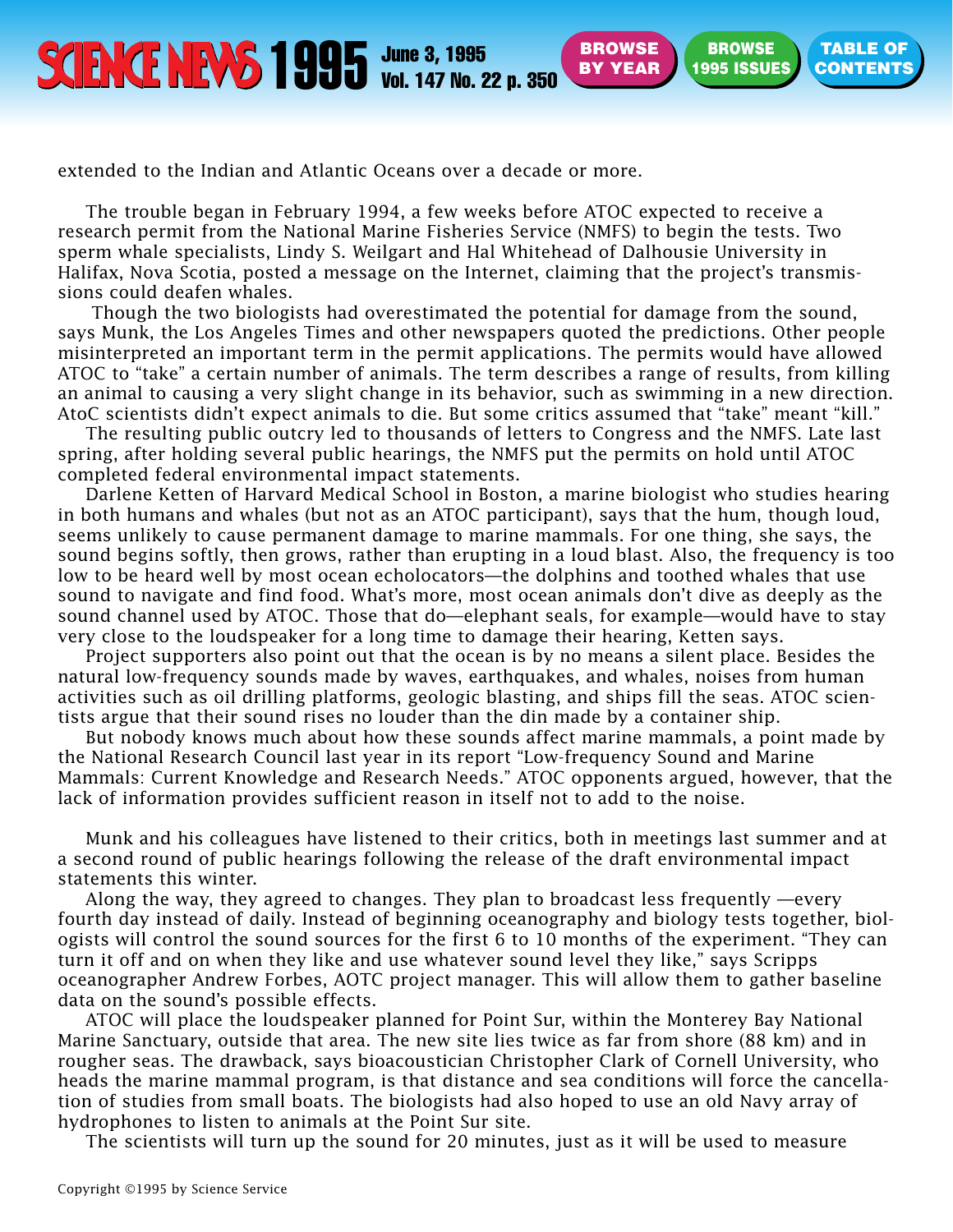**BROWSE [BY YEAR](#page-0-0)**

**BROWSE [1995 ISSUES](#page-0-0)** **TABLE OF**

extended to the Indian and Atlantic Oceans over a decade or more.

The trouble began in February 1994, a few weeks before ATOC expected to receive a research permit from the National Marine Fisheries Service (NMFS) to begin the tests. Two sperm whale specialists, Lindy S. Weilgart and Hal Whitehead of Dalhousie University in Halifax, Nova Scotia, posted a message on the Internet, claiming that the project's transmissions could deafen whales.

Though the two biologists had overestimated the potential for damage from the sound, says Munk, the Los Angeles Times and other newspapers quoted the predictions. Other people misinterpreted an important term in the permit applications. The permits would have allowed ATOC to "take" a certain number of animals. The term describes a range of results, from killing an animal to causing a very slight change in its behavior, such as swimming in a new direction. AtoC scientists didn't expect animals to die. But some critics assumed that "take" meant "kill."

The resulting public outcry led to thousands of letters to Congress and the NMFS. Late last spring, after holding several public hearings, the NMFS put the permits on hold until ATOC completed federal environmental impact statements.

Darlene Ketten of Harvard Medical School in Boston, a marine biologist who studies hearing in both humans and whales (but not as an ATOC participant), says that the hum, though loud, seems unlikely to cause permanent damage to marine mammals. For one thing, she says, the sound begins softly, then grows, rather than erupting in a loud blast. Also, the frequency is too low to be heard well by most ocean echolocators—the dolphins and toothed whales that use sound to navigate and find food. What's more, most ocean animals don't dive as deeply as the sound channel used by ATOC. Those that do—elephant seals, for example—would have to stay very close to the loudspeaker for a long time to damage their hearing, Ketten says.

Project supporters also point out that the ocean is by no means a silent place. Besides the natural low-frequency sounds made by waves, earthquakes, and whales, noises from human activities such as oil drilling platforms, geologic blasting, and ships fill the seas. ATOC scientists argue that their sound rises no louder than the din made by a container ship.

But nobody knows much about how these sounds affect marine mammals, a point made by the National Research Council last year in its report "Low-frequency Sound and Marine Mammals: Current Knowledge and Research Needs." ATOC opponents argued, however, that the lack of information provides sufficient reason in itself not to add to the noise.

Munk and his colleagues have listened to their critics, both in meetings last summer and at a second round of public hearings following the release of the draft environmental impact statements this winter.

Along the way, they agreed to changes. They plan to broadcast less frequently —every fourth day instead of daily. Instead of beginning oceanography and biology tests together, biologists will control the sound sources for the first 6 to 10 months of the experiment. "They can turn it off and on when they like and use whatever sound level they like," says Scripps oceanographer Andrew Forbes, AOTC project manager. This will allow them to gather baseline data on the sound's possible effects.

ATOC will place the loudspeaker planned for Point Sur, within the Monterey Bay National Marine Sanctuary, outside that area. The new site lies twice as far from shore (88 km) and in rougher seas. The drawback, says bioacoustician Christopher Clark of Cornell University, who heads the marine mammal program, is that distance and sea conditions will force the cancellation of studies from small boats. The biologists had also hoped to use an old Navy array of hydrophones to listen to animals at the Point Sur site.

The scientists will turn up the sound for 20 minutes, just as it will be used to measure